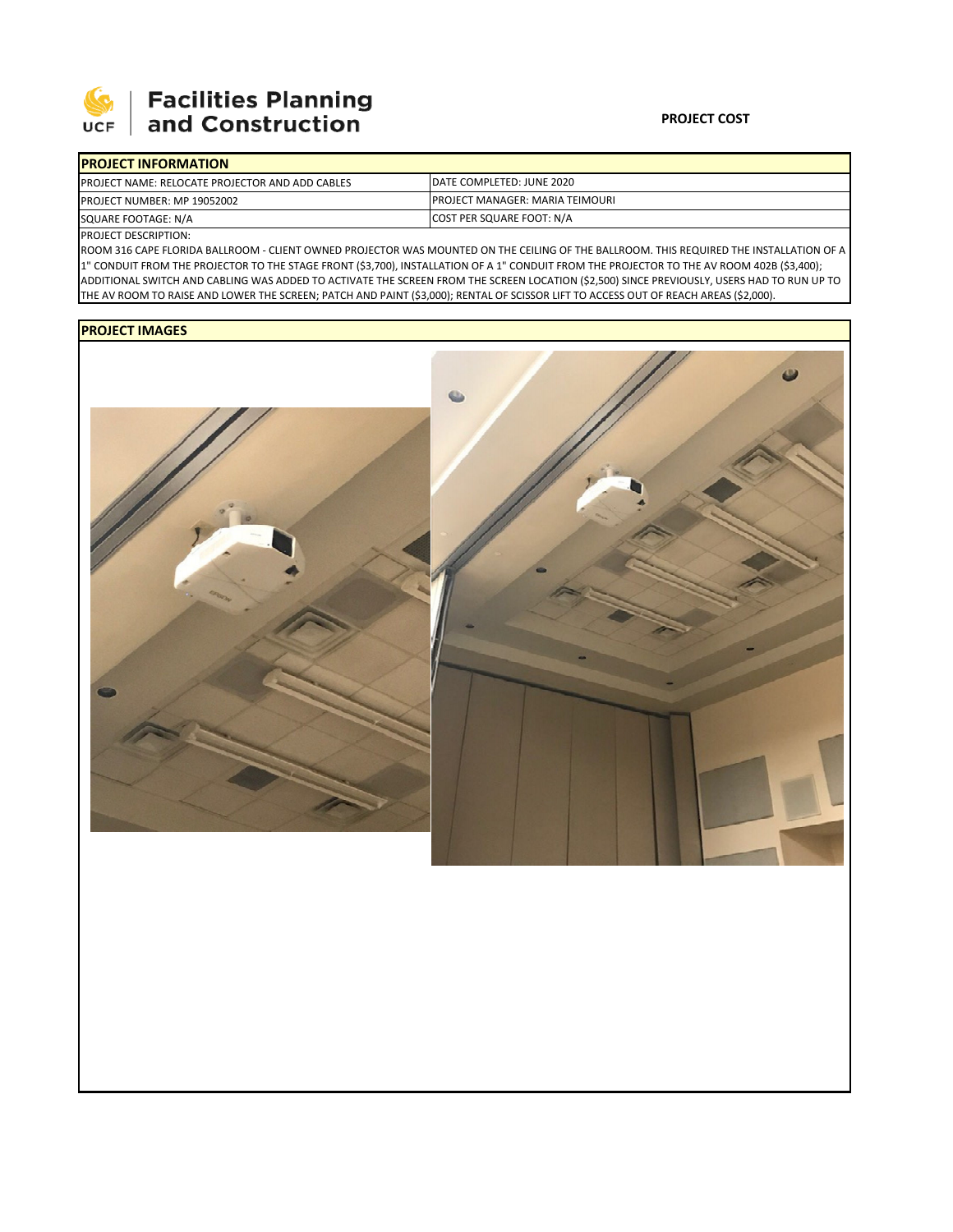

## **Facilities Planning<br>and Construction**

| <b>IPROJECT INFORMATION</b>                             |                                         |  |  |  |
|---------------------------------------------------------|-----------------------------------------|--|--|--|
| <b>IPROJECT NAME: RELOCATE PROJECTOR AND ADD CABLES</b> | DATE COMPLETED: JUNE 2020               |  |  |  |
| <b>PROJECT NUMBER: MP 19052002</b>                      | <b>IPROJECT MANAGER: MARIA TEIMOURI</b> |  |  |  |
| SQUARE FOOTAGE: N/A                                     | COST PER SQUARE FOOT: N/A               |  |  |  |

PROJECT DESCRIPTION:

ROOM 316 CAPE FLORIDA BALLROOM ‐ CLIENT OWNED PROJECTOR WAS MOUNTED ON THE CEILING OF THE BALLROOM. THIS REQUIRED THE INSTALLATION OF A 1" CONDUIT FROM THE PROJECTOR TO THE STAGE FRONT (\$3,700), INSTALLATION OF A 1" CONDUIT FROM THE PROJECTOR TO THE AV ROOM 402B (\$3,400); ADDITIONAL SWITCH AND CABLING WAS ADDED TO ACTIVATE THE SCREEN FROM THE SCREEN LOCATION (\$2,500) SINCE PREVIOUSLY, USERS HAD TO RUN UP TO THE AV ROOM TO RAISE AND LOWER THE SCREEN; PATCH AND PAINT (\$3,000); RENTAL OF SCISSOR LIFT TO ACCESS OUT OF REACH AREAS (\$2,000).

## **PROJECT IMAGES**